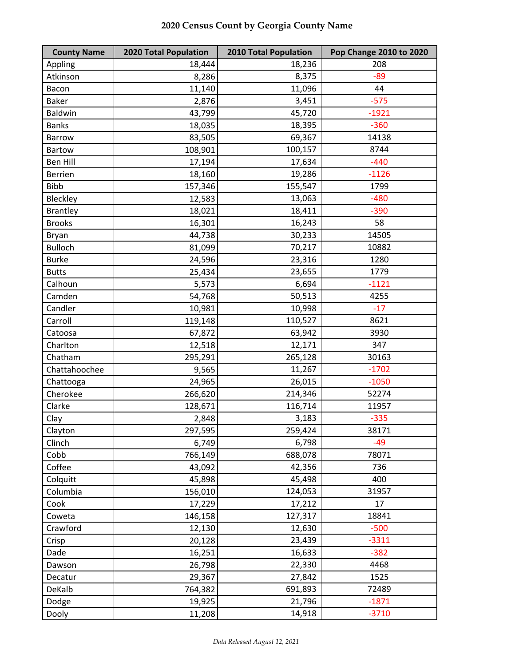| <b>County Name</b> | <b>2020 Total Population</b> | <b>2010 Total Population</b> | <b>Pop Change 2010 to 2020</b> |
|--------------------|------------------------------|------------------------------|--------------------------------|
| Appling            | 18,444                       | 18,236                       | 208                            |
| Atkinson           | 8,286                        | 8,375                        | $-89$                          |
| Bacon              | 11,140                       | 11,096                       | 44                             |
| <b>Baker</b>       | 2,876                        | 3,451                        | $-575$                         |
| <b>Baldwin</b>     | 43,799                       | 45,720                       | $-1921$                        |
| <b>Banks</b>       | 18,035                       | 18,395                       | $-360$                         |
| <b>Barrow</b>      | 83,505                       | 69,367                       | 14138                          |
| Bartow             | 108,901                      | 100,157                      | 8744                           |
| <b>Ben Hill</b>    | 17,194                       | 17,634                       | $-440$                         |
| <b>Berrien</b>     | 18,160                       | 19,286                       | $-1126$                        |
| <b>Bibb</b>        | 157,346                      | 155,547                      | 1799                           |
| Bleckley           | 12,583                       | 13,063                       | $-480$                         |
| <b>Brantley</b>    | 18,021                       | 18,411                       | $-390$                         |
| <b>Brooks</b>      | 16,301                       | 16,243                       | 58                             |
| Bryan              | 44,738                       | 30,233                       | 14505                          |
| <b>Bulloch</b>     | 81,099                       | 70,217                       | 10882                          |
| <b>Burke</b>       | 24,596                       | 23,316                       | 1280                           |
| <b>Butts</b>       | 25,434                       | 23,655                       | 1779                           |
| Calhoun            | 5,573                        | 6,694                        | $-1121$                        |
| Camden             | 54,768                       | 50,513                       | 4255                           |
| Candler            | 10,981                       | 10,998                       | $-17$                          |
| Carroll            | 119,148                      | 110,527                      | 8621                           |
| Catoosa            | 67,872                       | 63,942                       | 3930                           |
| Charlton           | 12,518                       | 12,171                       | 347                            |
| Chatham            | 295,291                      | 265,128                      | 30163                          |
| Chattahoochee      | 9,565                        | 11,267                       | $-1702$                        |
| Chattooga          | 24,965                       | 26,015                       | $-1050$                        |
| Cherokee           | 266,620                      | 214,346                      | 52274                          |
| Clarke             | 128,671                      | 116,714                      | 11957                          |
| Clay               | 2,848                        | 3,183                        | $-335$                         |
| Clayton            | 297,595                      | 259,424                      | 38171                          |
| Clinch             | 6,749                        | 6,798                        | $-49$                          |
| Cobb               | 766,149                      | 688,078                      | 78071                          |
| Coffee             | 43,092                       | 42,356                       | 736                            |
| Colquitt           | 45,898                       | 45,498                       | 400                            |
| Columbia           | 156,010                      | 124,053                      | 31957                          |
| Cook               | 17,229                       | 17,212                       | 17                             |
| Coweta             | 146,158                      | 127,317                      | 18841                          |
| Crawford           | 12,130                       | 12,630                       | $-500$                         |
| Crisp              | 20,128                       | 23,439                       | $-3311$                        |
| Dade               | 16,251                       | 16,633                       | $-382$                         |
| Dawson             | 26,798                       | 22,330                       | 4468                           |
| Decatur            | 29,367                       | 27,842                       | 1525                           |
| DeKalb             | 764,382                      | 691,893                      | 72489                          |
| Dodge              | 19,925                       | 21,796                       | $-1871$                        |
| Dooly              | 11,208                       | 14,918                       | $-3710$                        |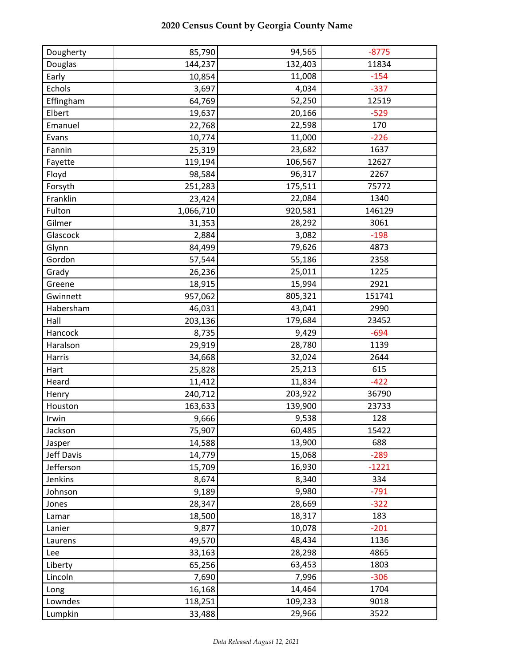| Dougherty  | 85,790    | 94,565  | $-8775$ |
|------------|-----------|---------|---------|
| Douglas    | 144,237   | 132,403 | 11834   |
| Early      | 10,854    | 11,008  | $-154$  |
| Echols     | 3,697     | 4,034   | $-337$  |
| Effingham  | 64,769    | 52,250  | 12519   |
| Elbert     | 19,637    | 20,166  | $-529$  |
| Emanuel    | 22,768    | 22,598  | 170     |
| Evans      | 10,774    | 11,000  | $-226$  |
| Fannin     | 25,319    | 23,682  | 1637    |
| Fayette    | 119,194   | 106,567 | 12627   |
| Floyd      | 98,584    | 96,317  | 2267    |
| Forsyth    | 251,283   | 175,511 | 75772   |
| Franklin   | 23,424    | 22,084  | 1340    |
| Fulton     | 1,066,710 | 920,581 | 146129  |
| Gilmer     | 31,353    | 28,292  | 3061    |
| Glascock   | 2,884     | 3,082   | $-198$  |
| Glynn      | 84,499    | 79,626  | 4873    |
| Gordon     | 57,544    | 55,186  | 2358    |
| Grady      | 26,236    | 25,011  | 1225    |
| Greene     | 18,915    | 15,994  | 2921    |
| Gwinnett   | 957,062   | 805,321 | 151741  |
| Habersham  | 46,031    | 43,041  | 2990    |
| Hall       | 203,136   | 179,684 | 23452   |
| Hancock    | 8,735     | 9,429   | $-694$  |
| Haralson   | 29,919    | 28,780  | 1139    |
| Harris     | 34,668    | 32,024  | 2644    |
| Hart       | 25,828    | 25,213  | 615     |
| Heard      | 11,412    | 11,834  | $-422$  |
| Henry      | 240,712   | 203,922 | 36790   |
| Houston    | 163,633   | 139,900 | 23733   |
| Irwin      | 9,666     | 9,538   | 128     |
| Jackson    | 75,907    | 60,485  | 15422   |
| Jasper     | 14,588    | 13,900  | 688     |
| Jeff Davis | 14,779    | 15,068  | $-289$  |
| Jefferson  | 15,709    | 16,930  | $-1221$ |
| Jenkins    | 8,674     | 8,340   | 334     |
| Johnson    | 9,189     | 9,980   | $-791$  |
| Jones      | 28,347    | 28,669  | $-322$  |
| Lamar      | 18,500    | 18,317  | 183     |
| Lanier     | 9,877     | 10,078  | $-201$  |
| Laurens    | 49,570    | 48,434  | 1136    |
| Lee        | 33,163    | 28,298  | 4865    |
| Liberty    | 65,256    | 63,453  | 1803    |
| Lincoln    | 7,690     | 7,996   | $-306$  |
| Long       | 16,168    | 14,464  | 1704    |
| Lowndes    | 118,251   | 109,233 | 9018    |
| Lumpkin    | 33,488    | 29,966  | 3522    |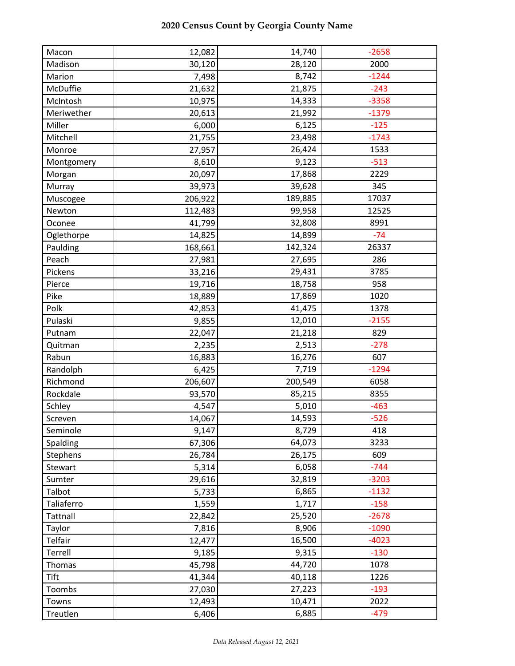| Macon           | 12,082  | 14,740  | $-2658$ |
|-----------------|---------|---------|---------|
| Madison         | 30,120  | 28,120  | 2000    |
| Marion          | 7,498   | 8,742   | $-1244$ |
| McDuffie        | 21,632  | 21,875  | $-243$  |
| McIntosh        | 10,975  | 14,333  | $-3358$ |
| Meriwether      | 20,613  | 21,992  | $-1379$ |
| Miller          | 6,000   | 6,125   | $-125$  |
| Mitchell        | 21,755  | 23,498  | $-1743$ |
| Monroe          | 27,957  | 26,424  | 1533    |
| Montgomery      | 8,610   | 9,123   | $-513$  |
| Morgan          | 20,097  | 17,868  | 2229    |
| Murray          | 39,973  | 39,628  | 345     |
| Muscogee        | 206,922 | 189,885 | 17037   |
| Newton          | 112,483 | 99,958  | 12525   |
| Oconee          | 41,799  | 32,808  | 8991    |
| Oglethorpe      | 14,825  | 14,899  | $-74$   |
| Paulding        | 168,661 | 142,324 | 26337   |
| Peach           | 27,981  | 27,695  | 286     |
| Pickens         | 33,216  | 29,431  | 3785    |
| Pierce          | 19,716  | 18,758  | 958     |
| Pike            | 18,889  | 17,869  | 1020    |
| Polk            | 42,853  | 41,475  | 1378    |
| Pulaski         | 9,855   | 12,010  | $-2155$ |
| Putnam          | 22,047  | 21,218  | 829     |
| Quitman         | 2,235   | 2,513   | $-278$  |
| Rabun           | 16,883  | 16,276  | 607     |
| Randolph        | 6,425   | 7,719   | $-1294$ |
| Richmond        | 206,607 | 200,549 | 6058    |
| Rockdale        | 93,570  | 85,215  | 8355    |
| Schley          | 4,547   | 5,010   | $-463$  |
| Screven         | 14,067  | 14,593  | $-526$  |
| Seminole        | 9,147   | 8,729   | 418     |
| Spalding        | 67,306  | 64,073  | 3233    |
| Stephens        | 26,784  | 26,175  | 609     |
| Stewart         | 5,314   | 6,058   | $-744$  |
| Sumter          | 29,616  | 32,819  | $-3203$ |
| Talbot          | 5,733   | 6,865   | $-1132$ |
| Taliaferro      | 1,559   | 1,717   | $-158$  |
| <b>Tattnall</b> | 22,842  | 25,520  | $-2678$ |
| Taylor          | 7,816   | 8,906   | $-1090$ |
| Telfair         | 12,477  | 16,500  | $-4023$ |
| Terrell         | 9,185   | 9,315   | $-130$  |
| Thomas          | 45,798  | 44,720  | 1078    |
| Tift            | 41,344  | 40,118  | 1226    |
| Toombs          | 27,030  | 27,223  | $-193$  |
| Towns           | 12,493  | 10,471  | 2022    |
| Treutlen        | 6,406   | 6,885   | $-479$  |